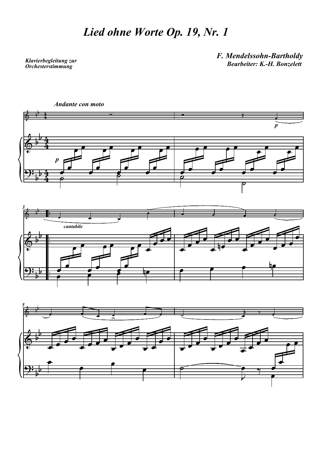Klavierbegleitung zur<br>Orchesterstimmung

F. Mendelssohn-Bartholdy Bearbeiter: K.-H. Bonzelett

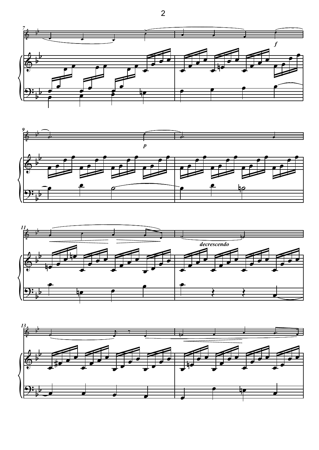





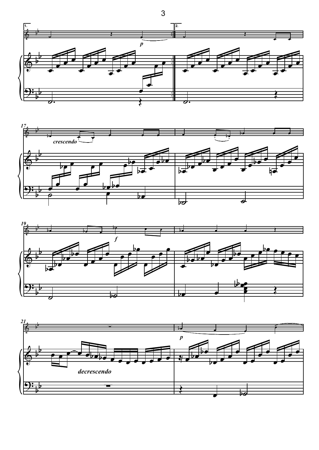







3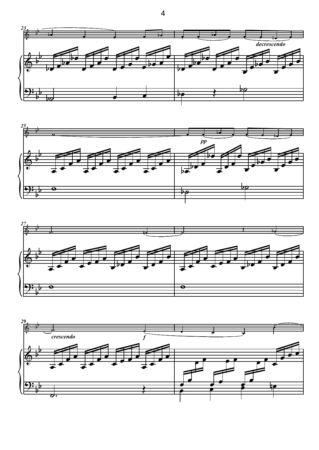





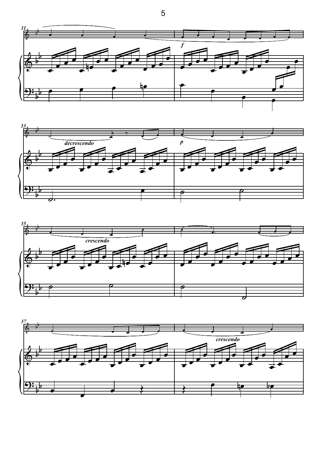





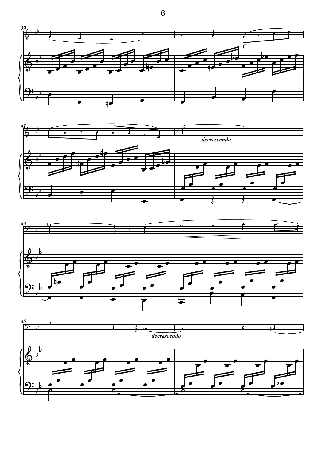